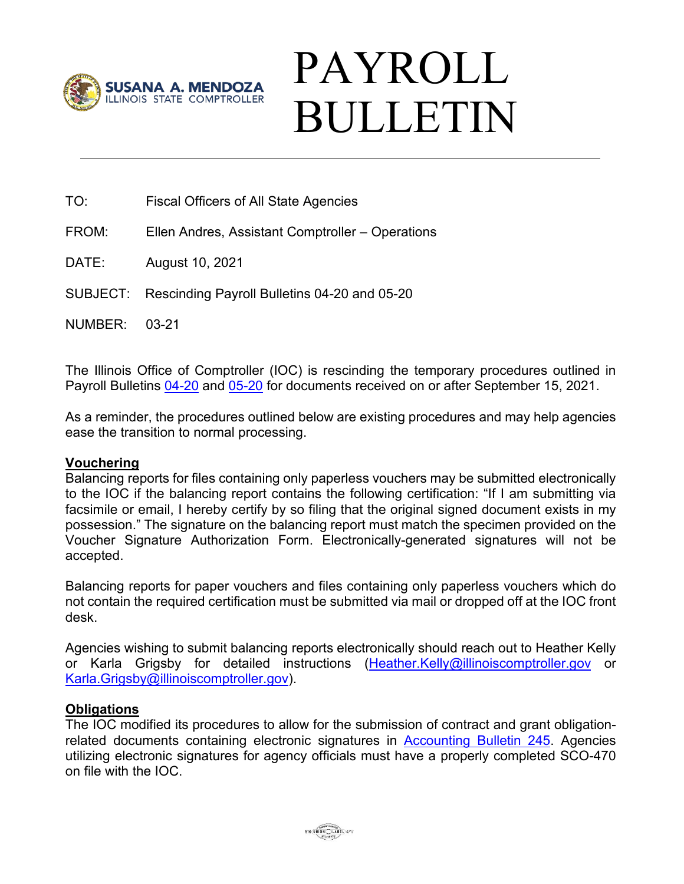

## PAYROLL BULLETIN

TO: Fiscal Officers of All State Agencies

FROM: Ellen Andres, Assistant Comptroller – Operations

DATE: August 10, 2021

SUBJECT: Rescinding Payroll Bulletins 04-20 and 05-20

NUMBER: 03-21

The Illinois Office of Comptroller (IOC) is rescinding the temporary procedures outlined in Payroll Bulletins [04-20](https://illinoiscomptroller.gov/comptroller/cache/file/5820F8E1-5056-93B5-5ED67AD2B0EC5E1C.pdf) and [05-20](https://illinoiscomptroller.gov/comptroller/cache/file/5BAE1F57-5056-93B5-5E6F2424845F6FF9.pdf) for documents received on or after September 15, 2021.

As a reminder, the procedures outlined below are existing procedures and may help agencies ease the transition to normal processing.

## **Vouchering**

Balancing reports for files containing only paperless vouchers may be submitted electronically to the IOC if the balancing report contains the following certification: "If I am submitting via facsimile or email, I hereby certify by so filing that the original signed document exists in my possession." The signature on the balancing report must match the specimen provided on the Voucher Signature Authorization Form. Electronically-generated signatures will not be accepted.

Balancing reports for paper vouchers and files containing only paperless vouchers which do not contain the required certification must be submitted via mail or dropped off at the IOC front desk.

Agencies wishing to submit balancing reports electronically should reach out to Heather Kelly or Karla Grigsby for detailed instructions [\(Heather.Kelly@illinoiscomptroller.gov](mailto:Heather.Kelly@illinoiscomptroller.gov) or [Karla.Grigsby@illinoiscomptroller.gov\)](mailto:Karla.Grigsby@illinoiscomptroller.gov).

## **Obligations**

The IOC modified its procedures to allow for the submission of contract and grant obligationrelated documents containing electronic signatures in [Accounting Bulletin 245.](https://illinoiscomptroller.gov/agencies/resource-library/accounting-bulletins/electronic-signatures-on-obligation-related-documents/245/) Agencies utilizing electronic signatures for agency officials must have a properly completed SCO-470 on file with the IOC.